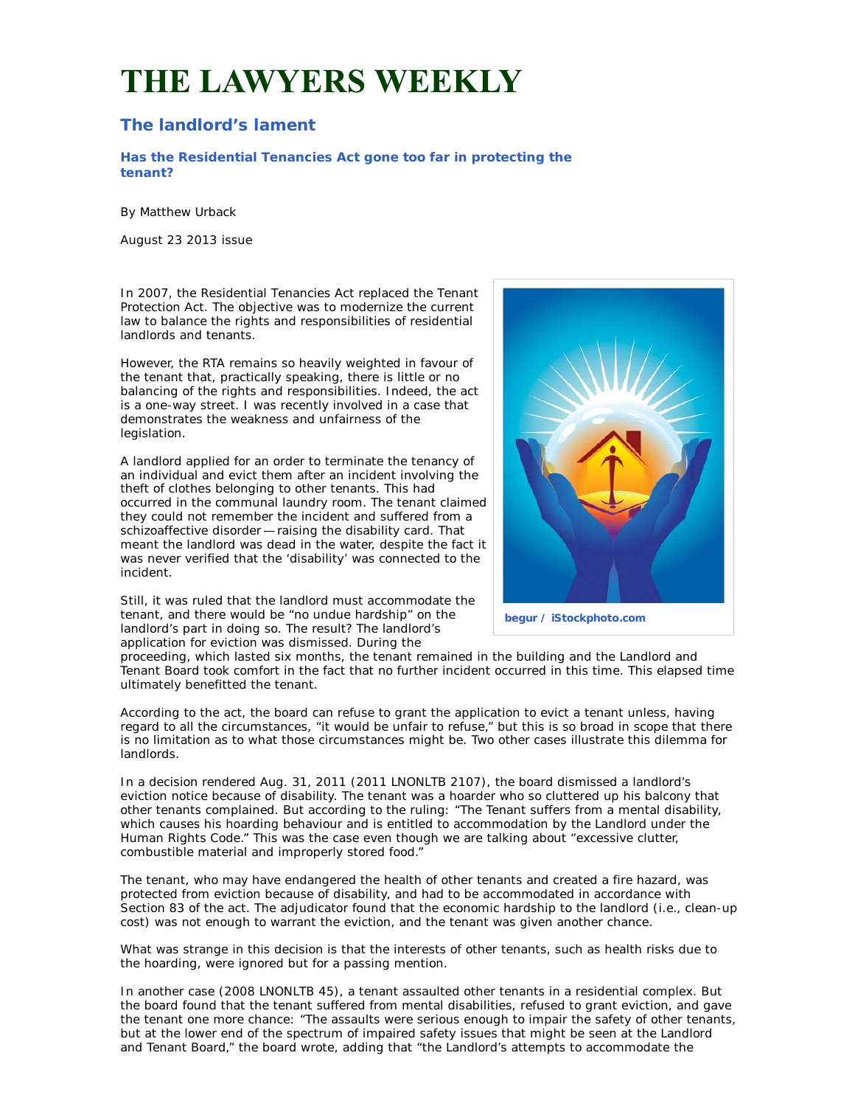## **THE LAWYERS WEEKLY**

## **The landlord's lament**

*Has the Residential Tenancies Act gone too far in protecting the tenant?*

By Matthew Urback

August 23 2013 issue

In 2007, the *Residential Tenancies Act* replaced the *Tenant Protection Act*. The objective was to modernize the current law to balance the rights and responsibilities of residential landlords and tenants.

However, the RTA remains so heavily weighted in favour of the tenant that, practically speaking, there is little or no balancing of the rights and responsibilities. Indeed, the act is a one-way street. I was recently involved in a case that demonstrates the weakness and unfairness of the legislation.

A landlord applied for an order to terminate the tenancy of an individual and evict them after an incident involving the theft of clothes belonging to other tenants. This had occurred in the communal laundry room. The tenant claimed they could not remember the incident and suffered from a schizoaffective disorder — raising the disability card. That meant the landlord was dead in the water, despite the fact it was never verified that the 'disability' was connected to the incident.

Still, it was ruled that the landlord must accommodate the tenant, and there would be "no undue hardship" on the landlord's part in doing so. The result? The landlord's application for eviction was dismissed. During the



**begur / iStockphoto.com**

proceeding, which lasted six months, the tenant remained in the building and the Landlord and Tenant Board took comfort in the fact that no further incident occurred in this time. This elapsed time ultimately benefitted the tenant.

According to the act, the board can refuse to grant the application to evict a tenant unless, having regard to all the circumstances, "it would be unfair to refuse," but this is so broad in scope that there is no limitation as to what those circumstances might be. Two other cases illustrate this dilemma for landlords.

In a decision rendered Aug. 31, 2011 (*2011 LNONLTB 2107*), the board dismissed a landlord's eviction notice because of disability. The tenant was a hoarder who so cluttered up his balcony that other tenants complained. But according to the ruling: "The Tenant suffers from a mental disability, which causes his hoarding behaviour and is entitled to accommodation by the Landlord under the *Human Rights Code*." This was the case even though we are talking about "excessive clutter, combustible material and improperly stored food."

The tenant, who may have endangered the health of other tenants and created a fire hazard, was protected from eviction because of disability, and had to be accommodated in accordance with *Section 83* of the act. The adjudicator found that the economic hardship to the landlord (i.e., clean-up cost) was not enough to warrant the eviction, and the tenant was given another chance.

What was strange in this decision is that the interests of other tenants, such as health risks due to the hoarding, were ignored but for a passing mention.

In another case (*2008 LNONLTB 45*), a tenant assaulted other tenants in a residential complex. But the board found that the tenant suffered from mental disabilities, refused to grant eviction, and gave the tenant one more chance: "The assaults were serious enough to impair the safety of other tenants, but at the lower end of the spectrum of impaired safety issues that might be seen at the Landlord and Tenant Board," the board wrote, adding that "the Landlord's attempts to accommodate the